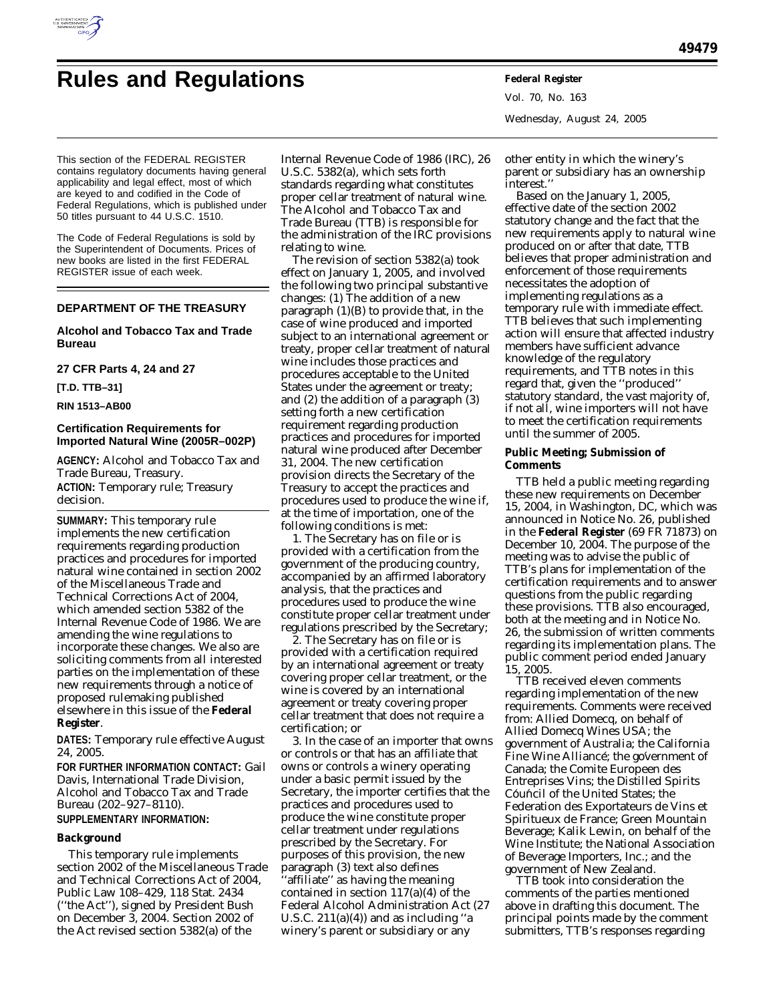

# **Rules and Regulations Federal Register**

Vol. 70, No. 163 Wednesday, August 24, 2005

This section of the FEDERAL REGISTER contains regulatory documents having general applicability and legal effect, most of which are keyed to and codified in the Code of Federal Regulations, which is published under 50 titles pursuant to 44 U.S.C. 1510.

The Code of Federal Regulations is sold by the Superintendent of Documents. Prices of new books are listed in the first FEDERAL REGISTER issue of each week.

### **DEPARTMENT OF THE TREASURY**

#### **Alcohol and Tobacco Tax and Trade Bureau**

#### **27 CFR Parts 4, 24 and 27**

**[T.D. TTB–31]** 

#### **RIN 1513–AB00**

#### **Certification Requirements for Imported Natural Wine (2005R–002P)**

**AGENCY:** Alcohol and Tobacco Tax and Trade Bureau, Treasury. **ACTION:** Temporary rule; Treasury decision.

**SUMMARY:** This temporary rule implements the new certification requirements regarding production practices and procedures for imported natural wine contained in section 2002 of the Miscellaneous Trade and Technical Corrections Act of 2004, which amended section 5382 of the Internal Revenue Code of 1986. We are amending the wine regulations to incorporate these changes. We also are soliciting comments from all interested parties on the implementation of these new requirements through a notice of proposed rulemaking published elsewhere in this issue of the **Federal Register**.

**DATES:** Temporary rule effective August 24, 2005.

**FOR FURTHER INFORMATION CONTACT:** Gail Davis, International Trade Division, Alcohol and Tobacco Tax and Trade Bureau (202–927–8110). **SUPPLEMENTARY INFORMATION:** 

#### **Background**

This temporary rule implements section 2002 of the Miscellaneous Trade and Technical Corrections Act of 2004, Public Law 108–429, 118 Stat. 2434 (''the Act''), signed by President Bush on December 3, 2004. Section 2002 of the Act revised section 5382(a) of the

Internal Revenue Code of 1986 (IRC), 26 U.S.C. 5382(a), which sets forth standards regarding what constitutes proper cellar treatment of natural wine. The Alcohol and Tobacco Tax and Trade Bureau (TTB) is responsible for the administration of the IRC provisions relating to wine.

The revision of section 5382(a) took effect on January 1, 2005, and involved the following two principal substantive changes: (1) The addition of a new paragraph (1)(B) to provide that, in the case of wine produced and imported subject to an international agreement or treaty, proper cellar treatment of natural wine includes those practices and procedures acceptable to the United States under the agreement or treaty; and (2) the addition of a paragraph (3) setting forth a new certification requirement regarding production practices and procedures for imported natural wine produced after December 31, 2004. The new certification provision directs the Secretary of the Treasury to accept the practices and procedures used to produce the wine if, at the time of importation, one of the following conditions is met:

1. The Secretary has on file or is provided with a certification from the government of the producing country, accompanied by an affirmed laboratory analysis, that the practices and procedures used to produce the wine constitute proper cellar treatment under regulations prescribed by the Secretary;

2. The Secretary has on file or is provided with a certification required by an international agreement or treaty covering proper cellar treatment, or the wine is covered by an international agreement or treaty covering proper cellar treatment that does not require a certification; or

3. In the case of an importer that owns or controls or that has an affiliate that owns or controls a winery operating under a basic permit issued by the Secretary, the importer certifies that the practices and procedures used to produce the wine constitute proper cellar treatment under regulations prescribed by the Secretary. For purposes of this provision, the new paragraph (3) text also defines 'affiliate'' as having the meaning contained in section 117(a)(4) of the Federal Alcohol Administration Act (27 U.S.C.  $211(a)(4)$  and as including "a winery's parent or subsidiary or any

other entity in which the winery's parent or subsidiary has an ownership interest.''

Based on the January 1, 2005, effective date of the section 2002 statutory change and the fact that the new requirements apply to natural wine produced on or after that date, TTB believes that proper administration and enforcement of those requirements necessitates the adoption of implementing regulations as a temporary rule with immediate effect. TTB believes that such implementing action will ensure that affected industry members have sufficient advance knowledge of the regulatory requirements, and TTB notes in this regard that, given the ''produced'' statutory standard, the vast majority of, if not all, wine importers will not have to meet the certification requirements until the summer of 2005.

#### **Public Meeting; Submission of Comments**

TTB held a public meeting regarding these new requirements on December 15, 2004, in Washington, DC, which was announced in Notice No. 26, published in the **Federal Register** (69 FR 71873) on December 10, 2004. The purpose of the meeting was to advise the public of TTB's plans for implementation of the certification requirements and to answer questions from the public regarding these provisions. TTB also encouraged, both at the meeting and in Notice No. 26, the submission of written comments regarding its implementation plans. The public comment period ended January 15, 2005.

TTB received eleven comments regarding implementation of the new requirements. Comments were received from: Allied Domecq, on behalf of Allied Domecq Wines USA; the government of Australia; the California Fine Wine Alliancé; the government of Canada; the Comite Europe en des Entreprises Vins; the Distilled Spirits Council of the United States; the ´ ´ Fe de ration des Exportateurs de Vins et Spiritueux de France; Green Mountain Beverage; Kalik Lewin, on behalf of the Wine Institute; the National Association of Beverage Importers, Inc.; and the government of New Zealand.

TTB took into consideration the comments of the parties mentioned above in drafting this document. The principal points made by the comment submitters, TTB's responses regarding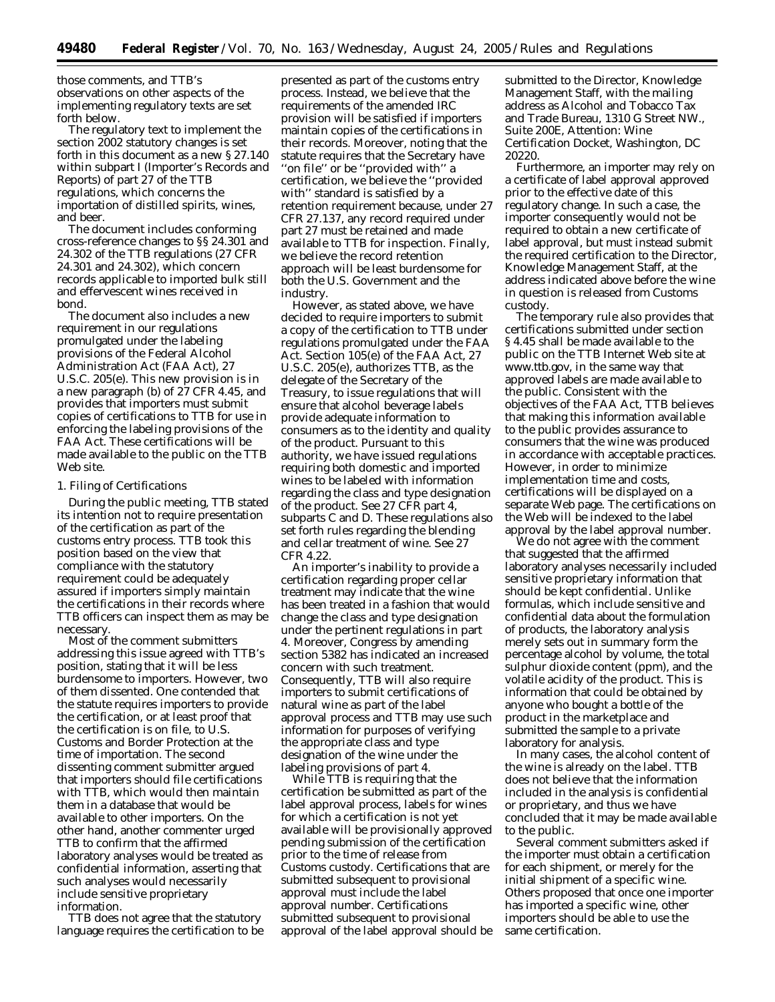those comments, and TTB's observations on other aspects of the implementing regulatory texts are set forth below.

The regulatory text to implement the section 2002 statutory changes is set forth in this document as a new § 27.140 within subpart I (Importer's Records and Reports) of part 27 of the TTB regulations, which concerns the importation of distilled spirits, wines, and beer.

The document includes conforming cross-reference changes to §§ 24.301 and 24.302 of the TTB regulations (27 CFR 24.301 and 24.302), which concern records applicable to imported bulk still and effervescent wines received in bond.

The document also includes a new requirement in our regulations promulgated under the labeling provisions of the Federal Alcohol Administration Act (FAA Act), 27 U.S.C. 205(e). This new provision is in a new paragraph (b) of 27 CFR 4.45, and provides that importers must submit copies of certifications to TTB for use in enforcing the labeling provisions of the FAA Act. These certifications will be made available to the public on the TTB Web site.

#### *1. Filing of Certifications*

During the public meeting, TTB stated its intention not to require presentation of the certification as part of the customs entry process. TTB took this position based on the view that compliance with the statutory requirement could be adequately assured if importers simply maintain the certifications in their records where TTB officers can inspect them as may be necessary.

Most of the comment submitters addressing this issue agreed with TTB's position, stating that it will be less burdensome to importers. However, two of them dissented. One contended that the statute requires importers to provide the certification, or at least proof that the certification is on file, to U.S. Customs and Border Protection at the time of importation. The second dissenting comment submitter argued that importers should file certifications with TTB, which would then maintain them in a database that would be available to other importers. On the other hand, another commenter urged TTB to confirm that the affirmed laboratory analyses would be treated as confidential information, asserting that such analyses would necessarily include sensitive proprietary information.

TTB does not agree that the statutory language requires the certification to be

presented as part of the customs entry process. Instead, we believe that the requirements of the amended IRC provision will be satisfied if importers maintain copies of the certifications in their records. Moreover, noting that the statute requires that the Secretary have ''on file'' or be ''provided with'' a certification, we believe the ''provided with'' standard is satisfied by a retention requirement because, under 27 CFR 27.137, any record required under part 27 must be retained and made available to TTB for inspection. Finally, we believe the record retention approach will be least burdensome for both the U.S. Government and the industry.

However, as stated above, we have decided to require importers to submit a copy of the certification to TTB under regulations promulgated under the FAA Act. Section 105(e) of the FAA Act, 27 U.S.C. 205(e), authorizes TTB, as the delegate of the Secretary of the Treasury, to issue regulations that will ensure that alcohol beverage labels provide adequate information to consumers as to the identity and quality of the product. Pursuant to this authority, we have issued regulations requiring both domestic and imported wines to be labeled with information regarding the class and type designation of the product. *See* 27 CFR part 4, subparts C and D. These regulations also set forth rules regarding the blending and cellar treatment of wine. *See* 27 CFR 4.22.

An importer's inability to provide a certification regarding proper cellar treatment may indicate that the wine has been treated in a fashion that would change the class and type designation under the pertinent regulations in part 4. Moreover, Congress by amending section 5382 has indicated an increased concern with such treatment. Consequently, TTB will also require importers to submit certifications of natural wine as part of the label approval process and TTB may use such information for purposes of verifying the appropriate class and type designation of the wine under the labeling provisions of part 4.

While TTB is requiring that the certification be submitted as part of the label approval process, labels for wines for which a certification is not yet available will be provisionally approved pending submission of the certification prior to the time of release from Customs custody. Certifications that are submitted subsequent to provisional approval must include the label approval number. Certifications submitted subsequent to provisional approval of the label approval should be submitted to the Director, Knowledge Management Staff, with the mailing address as Alcohol and Tobacco Tax and Trade Bureau, 1310 G Street NW., Suite 200E, Attention: Wine Certification Docket, Washington, DC 20220.

Furthermore, an importer may rely on a certificate of label approval approved prior to the effective date of this regulatory change. In such a case, the importer consequently would not be required to obtain a new certificate of label approval, but must instead submit the required certification to the Director, Knowledge Management Staff, at the address indicated above before the wine in question is released from Customs custody.

The temporary rule also provides that certifications submitted under section § 4.45 shall be made available to the public on the TTB Internet Web site at *www.ttb.gov,* in the same way that approved labels are made available to the public. Consistent with the objectives of the FAA Act, TTB believes that making this information available to the public provides assurance to consumers that the wine was produced in accordance with acceptable practices. However, in order to minimize implementation time and costs, certifications will be displayed on a separate Web page. The certifications on the Web will be indexed to the label approval by the label approval number.

We do not agree with the comment that suggested that the affirmed laboratory analyses necessarily included sensitive proprietary information that should be kept confidential. Unlike formulas, which include sensitive and confidential data about the formulation of products, the laboratory analysis merely sets out in summary form the percentage alcohol by volume, the total sulphur dioxide content (ppm), and the volatile acidity of the product. This is information that could be obtained by anyone who bought a bottle of the product in the marketplace and submitted the sample to a private laboratory for analysis.

In many cases, the alcohol content of the wine is already on the label. TTB does not believe that the information included in the analysis is confidential or proprietary, and thus we have concluded that it may be made available to the public.

Several comment submitters asked if the importer must obtain a certification for each shipment, or merely for the initial shipment of a specific wine. Others proposed that once one importer has imported a specific wine, other importers should be able to use the same certification.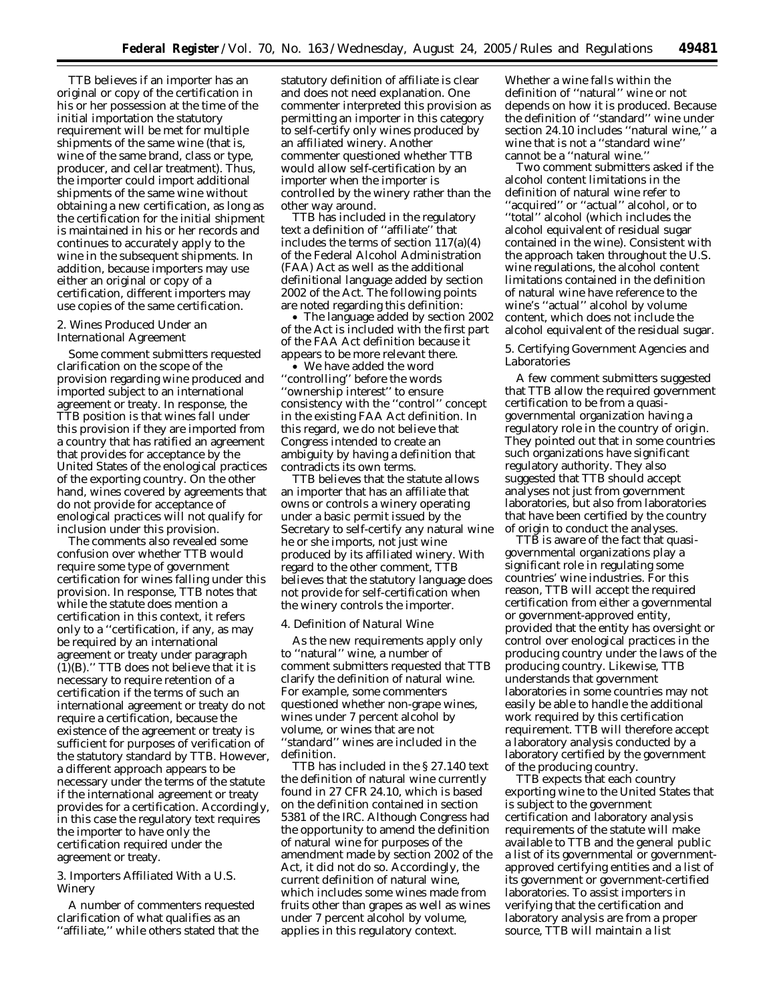TTB believes if an importer has an original or copy of the certification in his or her possession at the time of the initial importation the statutory requirement will be met for multiple shipments of the same wine (that is, wine of the same brand, class or type, producer, and cellar treatment). Thus, the importer could import additional shipments of the same wine without obtaining a new certification, as long as the certification for the initial shipment is maintained in his or her records and continues to accurately apply to the wine in the subsequent shipments. In addition, because importers may use either an original or copy of a certification, different importers may use copies of the same certification.

#### *2. Wines Produced Under an International Agreement*

Some comment submitters requested clarification on the scope of the provision regarding wine produced and imported subject to an international agreement or treaty. In response, the TTB position is that wines fall under this provision if they are imported from a country that has ratified an agreement that provides for acceptance by the United States of the enological practices of the exporting country. On the other hand, wines covered by agreements that do not provide for acceptance of enological practices will not qualify for inclusion under this provision.

The comments also revealed some confusion over whether TTB would require some type of government certification for wines falling under this provision. In response, TTB notes that while the statute does mention a certification in this context, it refers only to a ''certification, if any, as may be required by an international agreement or treaty under paragraph  $(1)(B)$ ." TTB does not believe that it is necessary to require retention of a certification if the terms of such an international agreement or treaty do not require a certification, because the existence of the agreement or treaty is sufficient for purposes of verification of the statutory standard by TTB. However, a different approach appears to be necessary under the terms of the statute if the international agreement or treaty provides for a certification. Accordingly, in this case the regulatory text requires the importer to have only the certification required under the agreement or treaty.

#### *3. Importers Affiliated With a U.S. Winery*

A number of commenters requested clarification of what qualifies as an ''affiliate,'' while others stated that the

statutory definition of affiliate is clear and does not need explanation. One commenter interpreted this provision as permitting an importer in this category to self-certify only wines produced by an affiliated winery. Another commenter questioned whether TTB would allow self-certification by an importer when the importer is controlled by the winery rather than the other way around.

TTB has included in the regulatory text a definition of ''affiliate'' that includes the terms of section 117(a)(4) of the Federal Alcohol Administration (FAA) Act as well as the additional definitional language added by section 2002 of the Act. The following points are noted regarding this definition:

• The language added by section 2002 of the Act is included with the first part of the FAA Act definition because it appears to be more relevant there.

• We have added the word ''controlling'' before the words ''ownership interest'' to ensure consistency with the ''control'' concept in the existing FAA Act definition. In this regard, we do not believe that Congress intended to create an ambiguity by having a definition that contradicts its own terms.

TTB believes that the statute allows an importer that has an affiliate that owns or controls a winery operating under a basic permit issued by the Secretary to self-certify any natural wine he or she imports, not just wine produced by its affiliated winery. With regard to the other comment, TTB believes that the statutory language does not provide for self-certification when the winery controls the importer.

#### *4. Definition of Natural Wine*

As the new requirements apply only to ''natural'' wine, a number of comment submitters requested that TTB clarify the definition of natural wine. For example, some commenters questioned whether non-grape wines, wines under 7 percent alcohol by volume, or wines that are not ''standard'' wines are included in the definition.

TTB has included in the § 27.140 text the definition of natural wine currently found in 27 CFR 24.10, which is based on the definition contained in section 5381 of the IRC. Although Congress had the opportunity to amend the definition of natural wine for purposes of the amendment made by section 2002 of the Act, it did not do so. Accordingly, the current definition of natural wine, which includes some wines made from fruits other than grapes as well as wines under 7 percent alcohol by volume, applies in this regulatory context.

Whether a wine falls within the definition of ''natural'' wine or not depends on how it is produced. Because the definition of ''standard'' wine under section 24.10 includes ''natural wine,'' a wine that is not a ''standard wine'' cannot be a ''natural wine.''

Two comment submitters asked if the alcohol content limitations in the definition of natural wine refer to ''acquired'' or ''actual'' alcohol, or to ''total'' alcohol (which includes the alcohol equivalent of residual sugar contained in the wine). Consistent with the approach taken throughout the U.S. wine regulations, the alcohol content limitations contained in the definition of natural wine have reference to the wine's ''actual'' alcohol by volume content, which does not include the alcohol equivalent of the residual sugar.

#### *5. Certifying Government Agencies and Laboratories*

A few comment submitters suggested that TTB allow the required government certification to be from a quasigovernmental organization having a regulatory role in the country of origin. They pointed out that in some countries such organizations have significant regulatory authority. They also suggested that TTB should accept analyses not just from government laboratories, but also from laboratories that have been certified by the country of origin to conduct the analyses.

TTB is aware of the fact that quasigovernmental organizations play a significant role in regulating some countries' wine industries. For this reason, TTB will accept the required certification from either a governmental or government-approved entity, provided that the entity has oversight or control over enological practices in the producing country under the laws of the producing country. Likewise, TTB understands that government laboratories in some countries may not easily be able to handle the additional work required by this certification requirement. TTB will therefore accept a laboratory analysis conducted by a laboratory certified by the government of the producing country.

TTB expects that each country exporting wine to the United States that is subject to the government certification and laboratory analysis requirements of the statute will make available to TTB and the general public a list of its governmental or governmentapproved certifying entities and a list of its government or government-certified laboratories. To assist importers in verifying that the certification and laboratory analysis are from a proper source, TTB will maintain a list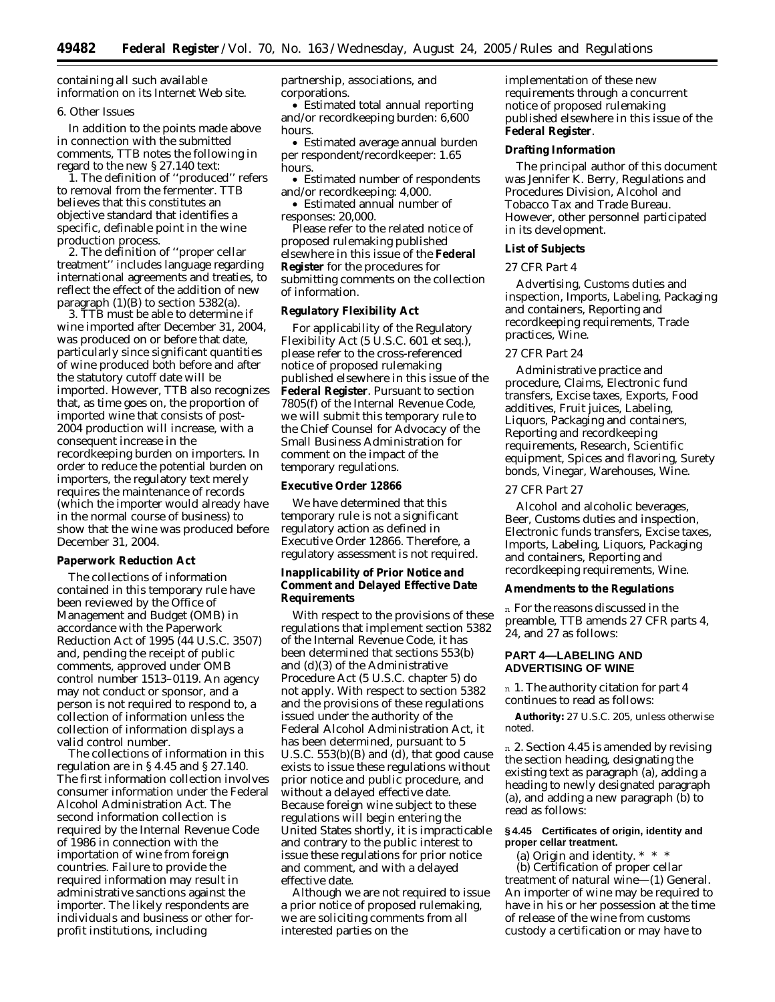containing all such available information on its Internet Web site.

#### *6. Other Issues*

In addition to the points made above in connection with the submitted comments, TTB notes the following in regard to the new § 27.140 text:

1. The definition of ''produced'' refers to removal from the fermenter. TTB believes that this constitutes an objective standard that identifies a specific, definable point in the wine production process.

2. The definition of ''proper cellar treatment'' includes language regarding international agreements and treaties, to reflect the effect of the addition of new paragraph  $(1)(B)$  to section 5382(a).

3. TTB must be able to determine if wine imported after December 31, 2004, was produced on or before that date, particularly since significant quantities of wine produced both before and after the statutory cutoff date will be imported. However, TTB also recognizes that, as time goes on, the proportion of imported wine that consists of post-2004 production will increase, with a consequent increase in the recordkeeping burden on importers. In order to reduce the potential burden on importers, the regulatory text merely requires the maintenance of records (which the importer would already have in the normal course of business) to show that the wine was produced before December 31, 2004.

#### **Paperwork Reduction Act**

The collections of information contained in this temporary rule have been reviewed by the Office of Management and Budget (OMB) in accordance with the Paperwork Reduction Act of 1995 (44 U.S.C. 3507) and, pending the receipt of public comments, approved under OMB control number 1513–0119. An agency may not conduct or sponsor, and a person is not required to respond to, a collection of information unless the collection of information displays a valid control number.

The collections of information in this regulation are in § 4.45 and § 27.140. The first information collection involves consumer information under the Federal Alcohol Administration Act. The second information collection is required by the Internal Revenue Code of 1986 in connection with the importation of wine from foreign countries. Failure to provide the required information may result in administrative sanctions against the importer. The likely respondents are individuals and business or other forprofit institutions, including

partnership, associations, and corporations.

• Estimated total annual reporting and/or recordkeeping burden: 6,600 hours.

• Estimated average annual burden per respondent/recordkeeper: 1.65 hours.

• Estimated number of respondents and/or recordkeeping: 4,000.

• Estimated annual number of responses: 20,000.

Please refer to the related notice of proposed rulemaking published elsewhere in this issue of the **Federal Register** for the procedures for submitting comments on the collection of information.

#### **Regulatory Flexibility Act**

For applicability of the Regulatory Flexibility Act (5 U.S.C. 601 *et seq.*), please refer to the cross-referenced notice of proposed rulemaking published elsewhere in this issue of the **Federal Register**. Pursuant to section 7805(f) of the Internal Revenue Code, we will submit this temporary rule to the Chief Counsel for Advocacy of the Small Business Administration for comment on the impact of the temporary regulations.

#### **Executive Order 12866**

We have determined that this temporary rule is not a significant regulatory action as defined in Executive Order 12866. Therefore, a regulatory assessment is not required.

#### **Inapplicability of Prior Notice and Comment and Delayed Effective Date Requirements**

With respect to the provisions of these regulations that implement section 5382 of the Internal Revenue Code, it has been determined that sections 553(b) and (d)(3) of the Administrative Procedure Act (5 U.S.C. chapter 5) do not apply. With respect to section 5382 and the provisions of these regulations issued under the authority of the Federal Alcohol Administration Act, it has been determined, pursuant to 5 U.S.C. 553(b)(B) and (d), that good cause exists to issue these regulations without prior notice and public procedure, and without a delayed effective date. Because foreign wine subject to these regulations will begin entering the United States shortly, it is impracticable and contrary to the public interest to issue these regulations for prior notice and comment, and with a delayed effective date.

Although we are not required to issue a prior notice of proposed rulemaking, we are soliciting comments from all interested parties on the

implementation of these new requirements through a concurrent notice of proposed rulemaking published elsewhere in this issue of the **Federal Register**.

#### **Drafting Information**

The principal author of this document was Jennifer K. Berry, Regulations and Procedures Division, Alcohol and Tobacco Tax and Trade Bureau. However, other personnel participated in its development.

#### **List of Subjects**

#### *27 CFR Part 4*

Advertising, Customs duties and inspection, Imports, Labeling, Packaging and containers, Reporting and recordkeeping requirements, Trade practices, Wine.

#### *27 CFR Part 24*

Administrative practice and procedure, Claims, Electronic fund transfers, Excise taxes, Exports, Food additives, Fruit juices, Labeling, Liquors, Packaging and containers, Reporting and recordkeeping requirements, Research, Scientific equipment, Spices and flavoring, Surety bonds, Vinegar, Warehouses, Wine.

#### *27 CFR Part 27*

Alcohol and alcoholic beverages, Beer, Customs duties and inspection, Electronic funds transfers, Excise taxes, Imports, Labeling, Liquors, Packaging and containers, Reporting and recordkeeping requirements, Wine.

#### **Amendments to the Regulations**

n For the reasons discussed in the preamble, TTB amends 27 CFR parts 4, 24, and 27 as follows:

#### **PART 4—LABELING AND ADVERTISING OF WINE**

n 1. The authority citation for part 4 continues to read as follows:

**Authority:** 27 U.S.C. 205, unless otherwise noted.

n 2. Section 4.45 is amended by revising the section heading, designating the existing text as paragraph (a), adding a heading to newly designated paragraph (a), and adding a new paragraph (b) to read as follows:

#### **§ 4.45 Certificates of origin, identity and proper cellar treatment.**

(a) *Origin and identity*. \* \* \*

(b) *Certification of proper cellar treatment of natural wine*—(1) *General.* An importer of wine may be required to have in his or her possession at the time of release of the wine from customs custody a certification or may have to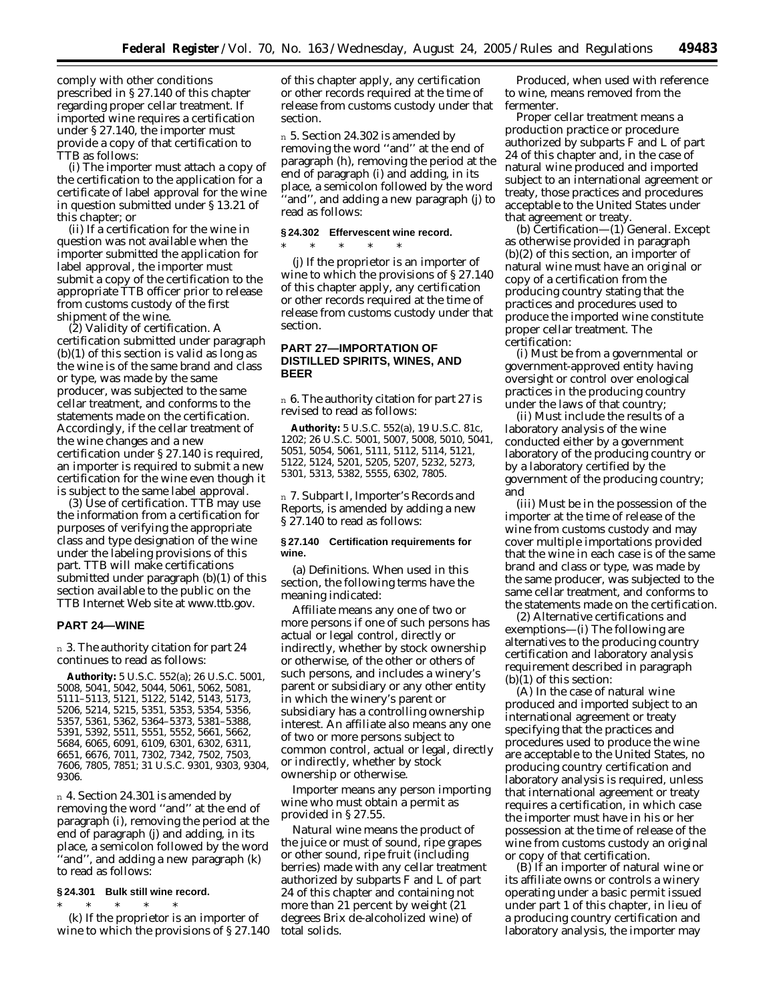comply with other conditions prescribed in § 27.140 of this chapter regarding proper cellar treatment. If imported wine requires a certification under § 27.140, the importer must provide a copy of that certification to TTB as follows:

(i) The importer must attach a copy of the certification to the application for a certificate of label approval for the wine in question submitted under § 13.21 of this chapter; or

(ii) If a certification for the wine in question was not available when the importer submitted the application for label approval, the importer must submit a copy of the certification to the appropriate TTB officer prior to release from customs custody of the first shipment of the wine.

(2) *Validity of certification*. A certification submitted under paragraph  $(b)(1)$  of this section is valid as long as the wine is of the same brand and class or type, was made by the same producer, was subjected to the same cellar treatment, and conforms to the statements made on the certification. Accordingly, if the cellar treatment of the wine changes and a new certification under § 27.140 is required, an importer is required to submit a new certification for the wine even though it is subject to the same label approval.

(3) *Use of certification*. TTB may use the information from a certification for purposes of verifying the appropriate class and type designation of the wine under the labeling provisions of this part. TTB will make certifications submitted under paragraph (b)(1) of this section available to the public on the TTB Internet Web site at *www.ttb.gov.*

#### **PART 24—WINE**

n 3. The authority citation for part 24 continues to read as follows:

**Authority:** 5 U.S.C. 552(a); 26 U.S.C. 5001, 5008, 5041, 5042, 5044, 5061, 5062, 5081, 5111–5113, 5121, 5122, 5142, 5143, 5173, 5206, 5214, 5215, 5351, 5353, 5354, 5356, 5357, 5361, 5362, 5364–5373, 5381–5388, 5391, 5392, 5511, 5551, 5552, 5661, 5662, 5684, 6065, 6091, 6109, 6301, 6302, 6311, 6651, 6676, 7011, 7302, 7342, 7502, 7503, 7606, 7805, 7851; 31 U.S.C. 9301, 9303, 9304, 9306.

n 4. Section 24.301 is amended by removing the word ''and'' at the end of paragraph (i), removing the period at the end of paragraph (j) and adding, in its place, a semicolon followed by the word ''and'', and adding a new paragraph (k) to read as follows:

#### **§ 24.301 Bulk still wine record.**

\* \* \* \* \* (k) If the proprietor is an importer of wine to which the provisions of § 27.140

of this chapter apply, any certification or other records required at the time of release from customs custody under that section.

n 5. Section 24.302 is amended by removing the word ''and'' at the end of paragraph (h), removing the period at the end of paragraph (i) and adding, in its place, a semicolon followed by the word 'and'', and adding a new paragraph (j) to read as follows:

#### **§ 24.302 Effervescent wine record.**

 $*$  \* \*

(j) If the proprietor is an importer of wine to which the provisions of § 27.140 of this chapter apply, any certification or other records required at the time of release from customs custody under that section.

#### **PART 27—IMPORTATION OF DISTILLED SPIRITS, WINES, AND BEER**

n 6. The authority citation for part 27 is revised to read as follows:

**Authority:** 5 U.S.C. 552(a), 19 U.S.C. 81c, 1202; 26 U.S.C. 5001, 5007, 5008, 5010, 5041, 5051, 5054, 5061, 5111, 5112, 5114, 5121, 5122, 5124, 5201, 5205, 5207, 5232, 5273, 5301, 5313, 5382, 5555, 6302, 7805.

n 7. Subpart I, Importer's Records and Reports, is amended by adding a new § 27.140 to read as follows:

#### **§ 27.140 Certification requirements for wine.**

(a) *Definitions*. When used in this section, the following terms have the meaning indicated:

*Affiliate* means any one of two or more persons if one of such persons has actual or legal control, directly or indirectly, whether by stock ownership or otherwise, of the other or others of such persons, and includes a winery's parent or subsidiary or any other entity in which the winery's parent or subsidiary has a controlling ownership interest. An affiliate also means any one of two or more persons subject to common control, actual or legal, directly or indirectly, whether by stock ownership or otherwise.

*Importer* means any person importing wine who must obtain a permit as provided in § 27.55.

*Natural wine* means the product of the juice or must of sound, ripe grapes or other sound, ripe fruit (including berries) made with any cellar treatment authorized by subparts F and L of part 24 of this chapter and containing not more than 21 percent by weight (21 degrees Brix de-alcoholized wine) of total solids.

*Produced*, when used with reference to wine, means removed from the fermenter.

*Proper cellar treatment* means a production practice or procedure authorized by subparts F and L of part 24 of this chapter and, in the case of natural wine produced and imported subject to an international agreement or treaty, those practices and procedures acceptable to the United States under that agreement or treaty.

(b) *Certification*—(1) *General*. Except as otherwise provided in paragraph (b)(2) of this section, an importer of natural wine must have an original or copy of a certification from the producing country stating that the practices and procedures used to produce the imported wine constitute proper cellar treatment. The certification:

(i) Must be from a governmental or government-approved entity having oversight or control over enological practices in the producing country under the laws of that country;

(ii) Must include the results of a laboratory analysis of the wine conducted either by a government laboratory of the producing country or by a laboratory certified by the government of the producing country; and

(iii) Must be in the possession of the importer at the time of release of the wine from customs custody and may cover multiple importations provided that the wine in each case is of the same brand and class or type, was made by the same producer, was subjected to the same cellar treatment, and conforms to the statements made on the certification.

(2) *Alternative certifications and exemptions—*(i) The following are alternatives to the producing country certification and laboratory analysis requirement described in paragraph (b)(1) of this section:

(A) In the case of natural wine produced and imported subject to an international agreement or treaty specifying that the practices and procedures used to produce the wine are acceptable to the United States, no producing country certification and laboratory analysis is required, unless that international agreement or treaty requires a certification, in which case the importer must have in his or her possession at the time of release of the wine from customs custody an original or copy of that certification.

(B) If an importer of natural wine or its affiliate owns or controls a winery operating under a basic permit issued under part 1 of this chapter, in lieu of a producing country certification and laboratory analysis, the importer may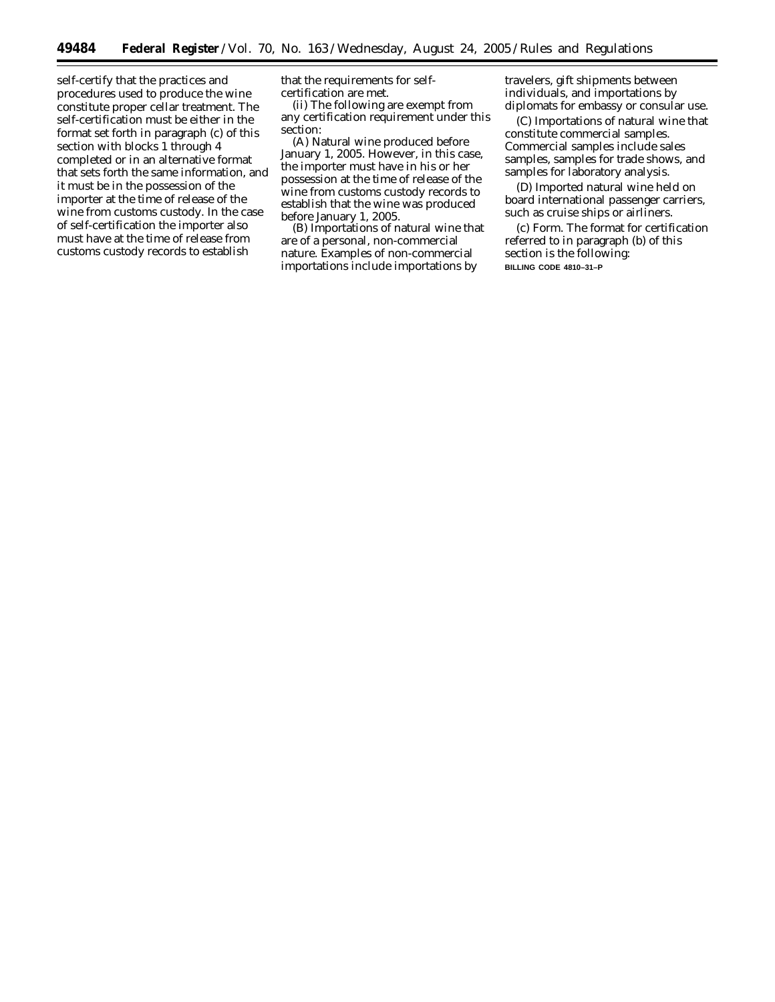self-certify that the practices and procedures used to produce the wine constitute proper cellar treatment. The self-certification must be either in the format set forth in paragraph (c) of this section with blocks 1 through 4 completed or in an alternative format that sets forth the same information, and it must be in the possession of the importer at the time of release of the wine from customs custody. In the case of self-certification the importer also must have at the time of release from customs custody records to establish

that the requirements for selfcertification are met.

(ii) The following are exempt from any certification requirement under this section:

(A) Natural wine produced before January 1, 2005. However, in this case, the importer must have in his or her possession at the time of release of the wine from customs custody records to establish that the wine was produced before January 1, 2005.

(B) Importations of natural wine that are of a personal, non-commercial nature. Examples of non-commercial importations include importations by

travelers, gift shipments between individuals, and importations by diplomats for embassy or consular use.

(C) Importations of natural wine that constitute commercial samples. Commercial samples include sales samples, samples for trade shows, and samples for laboratory analysis.

(D) Imported natural wine held on board international passenger carriers, such as cruise ships or airliners.

(c) *Form.* The format for certification referred to in paragraph (b) of this section is the following: **BILLING CODE 4810–31–P**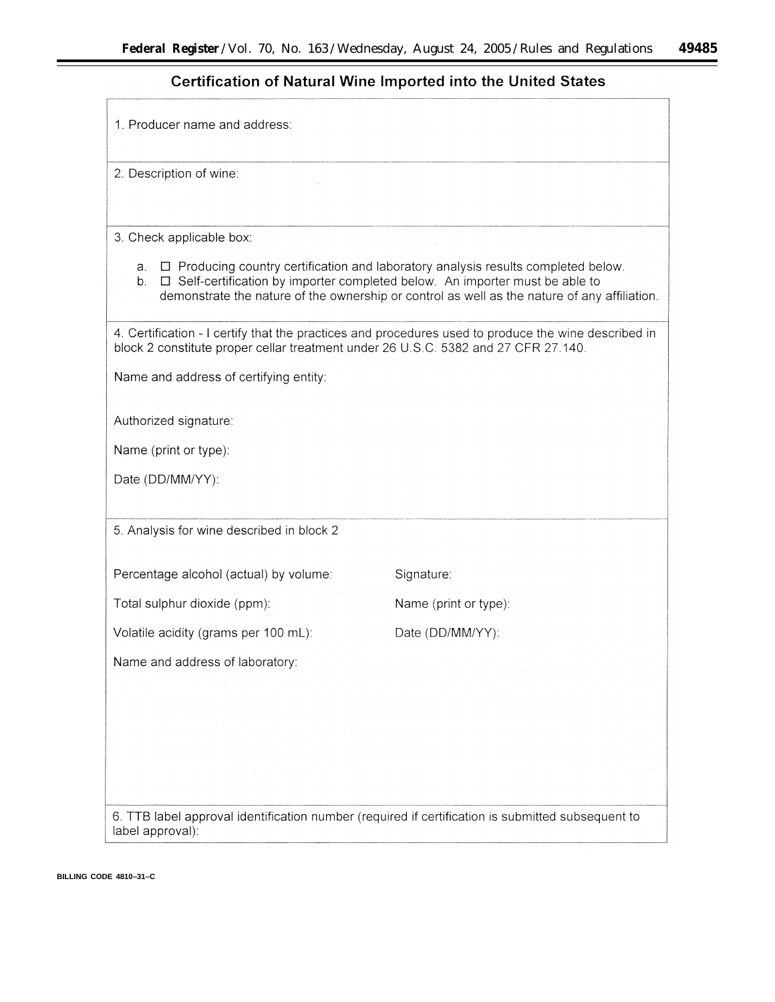۰

## Certification of Natural Wine Imported into the United States

| 1. Producer name and address:                                                      |                                                                                                                                                                                                                                                                          |
|------------------------------------------------------------------------------------|--------------------------------------------------------------------------------------------------------------------------------------------------------------------------------------------------------------------------------------------------------------------------|
| 2. Description of wine:                                                            |                                                                                                                                                                                                                                                                          |
|                                                                                    |                                                                                                                                                                                                                                                                          |
| 3. Check applicable box:                                                           |                                                                                                                                                                                                                                                                          |
| a.<br>b.                                                                           | $\Box$ Producing country certification and laboratory analysis results completed below.<br>□ Self-certification by importer completed below. An importer must be able to<br>demonstrate the nature of the ownership or control as well as the nature of any affiliation. |
| block 2 constitute proper cellar treatment under 26 U.S.C. 5382 and 27 CFR 27.140. | 4. Certification - I certify that the practices and procedures used to produce the wine described in                                                                                                                                                                     |
| Name and address of certifying entity:                                             |                                                                                                                                                                                                                                                                          |
| Authorized signature:                                                              |                                                                                                                                                                                                                                                                          |
| Name (print or type):                                                              |                                                                                                                                                                                                                                                                          |
| Date (DD/MM/YY):                                                                   |                                                                                                                                                                                                                                                                          |
| 5. Analysis for wine described in block 2                                          |                                                                                                                                                                                                                                                                          |
| Percentage alcohol (actual) by volume:                                             | Signature:                                                                                                                                                                                                                                                               |
| Total sulphur dioxide (ppm):                                                       | Name (print or type):                                                                                                                                                                                                                                                    |
| Volatile acidity (grams per 100 mL):                                               | Date (DD/MM/YY):                                                                                                                                                                                                                                                         |
| Name and address of laboratory:                                                    |                                                                                                                                                                                                                                                                          |
|                                                                                    |                                                                                                                                                                                                                                                                          |
|                                                                                    |                                                                                                                                                                                                                                                                          |
|                                                                                    |                                                                                                                                                                                                                                                                          |
|                                                                                    |                                                                                                                                                                                                                                                                          |